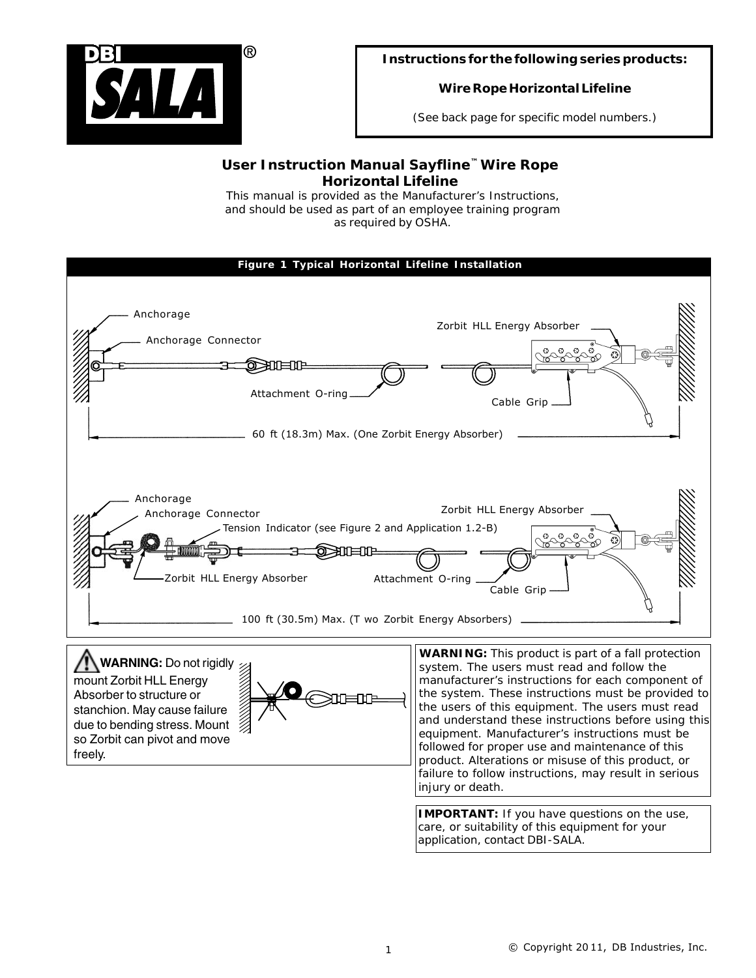

## **Instructions for the following series products:**

# **Wire Rope Horizontal Lifeline**

*(See back page for specific model numbers.)*

# *User Instruction Manual Sayfline™ Wire Rope Horizontal Lifeline*

*This manual is provided as the Manufacturer's Instructions, and should be used as part of an employee training program as required by OSHA.*



*IMPORTANT: If you have questions on the use, care, or suitability of this equipment for your application, contact DBI-SALA.*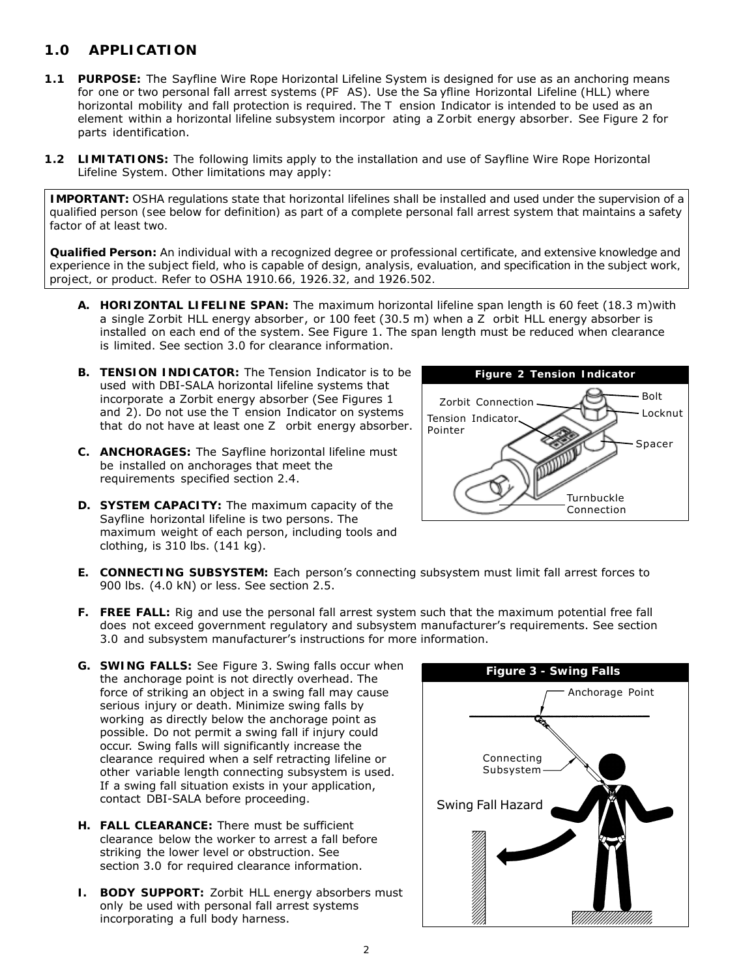# *1.0 APPLICATION*

- **1.1 PURPOSE:** The Sayfline Wire Rope Horizontal Lifeline System is designed for use as an anchoring means for one or two personal fall arrest systems (PF AS). Use the Sa yfline Horizontal Lifeline (HLL) where horizontal mobility and fall protection is required. The T ension Indicator is intended to be used as an element within a horizontal lifeline subsystem incorpor ating a Z orbit energy absorber. See Figure 2 for parts identification.
- **1.2 LIMITATIONS:** The following limits apply to the installation and use of Sayfline Wire Rope Horizontal Lifeline System. Other limitations may apply:

*IMPORTANT: OSHA regulations state that horizontal lifelines shall be installed and used under the supervision of a qualified person (see below for definition) as part of a complete personal fall arrest system that maintains a safety factor of at least two.*

*Qualified Person: An individual with a recognized degree or professional certificate, and extensive knowledge and experience in the subject field, who is capable of design, analysis, evaluation, and specification in the subject work, project, or product. Refer to OSHA 1910.66, 1926.32, and 1926.502.*

- **A. HORIZONTAL LIFELINE SPAN:** The maximum horizontal lifeline span length is 60 feet (18.3 m)with a single Zorbit HLL energy absorber, or 100 feet (30.5 m) when a Z orbit HLL energy absorber is installed on each end of the system. See Figure 1. The span length must be reduced when clearance is limited. See section 3.0 for clearance information.
- **B. TENSION INDICATOR:** The Tension Indicator is to be used with DBI-SALA horizontal lifeline systems that incorporate a Zorbit energy absorber (See Figures 1 and 2). Do not use the T ension Indicator on systems that do not have at least one Z orbit energy absorber.
- **C. ANCHORAGES:** The Sayfline horizontal lifeline must be installed on anchorages that meet the requirements specified section 2.4.
- **D. SYSTEM CAPACITY:** The maximum capacity of the Sayfline horizontal lifeline is two persons. The maximum weight of each person, including tools and clothing, is 310 lbs. (141 kg).



- **E. CONNECTING SUBSYSTEM:** Each person's connecting subsystem must limit fall arrest forces to 900 lbs. (4.0 kN) or less. See section 2.5.
- **F. FREE FALL:** Rig and use the personal fall arrest system such that the maximum potential free fall does not exceed government regulatory and subsystem manufacturer's requirements. See section 3.0 and subsystem manufacturer's instructions for more information.
- **G. SWING FALLS:** See Figure 3. Swing falls occur when the anchorage point is not directly overhead. The force of striking an object in a swing fall may cause serious injury or death. Minimize swing falls by working as directly below the anchorage point as possible. Do not permit a swing fall if injury could occur. Swing falls will significantly increase the clearance required when a self retracting lifeline or other variable length connecting subsystem is used. If a swing fall situation exists in your application, contact DBI-SALA before proceeding.
- **H. FALL CLEARANCE:** There must be sufficient clearance below the worker to arrest a fall before striking the lower level or obstruction. See section 3.0 for required clearance information.
- **I. BODY SUPPORT:** Zorbit HLL energy absorbers must only be used with personal fall arrest systems incorporating a full body harness.

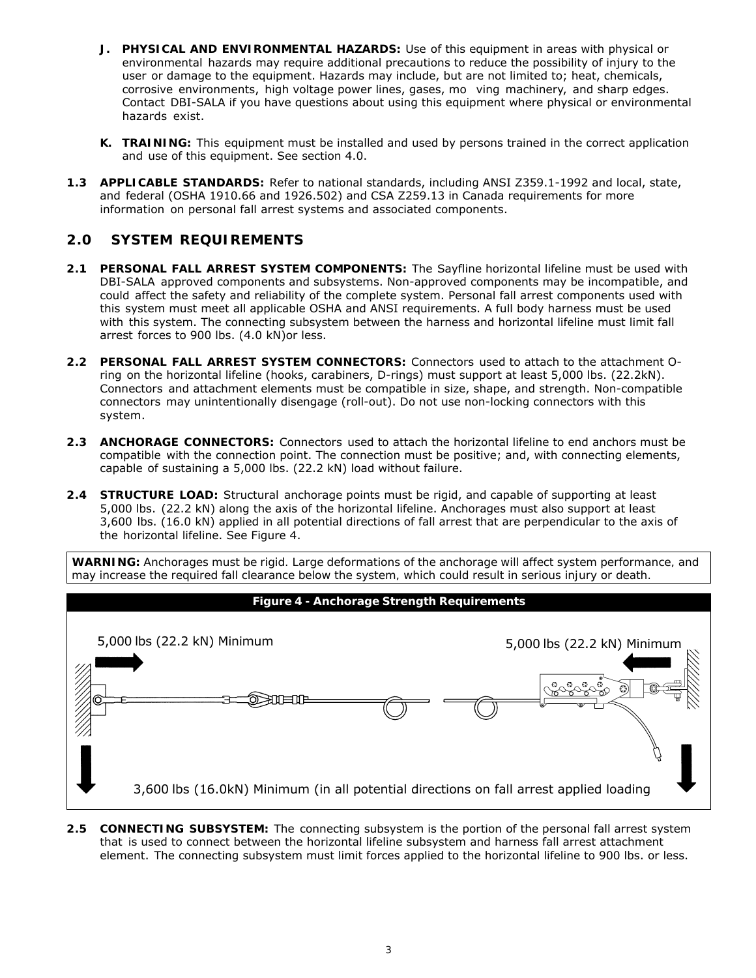- **J. PHYSICAL AND ENVIRONMENTAL HAZARDS:** Use of this equipment in areas with physical or environmental hazards may require additional precautions to reduce the possibility of injury to the user or damage to the equipment. Hazards may include, but are not limited to; heat, chemicals, corrosive environments, high voltage power lines, gases, mo ving machinery, and sharp edges. Contact DBI-SALA if you have questions about using this equipment where physical or environmental hazards exist.
- **K. TRAINING:** This equipment must be installed and used by persons trained in the correct application and use of this equipment. See section 4.0.
- **1.3 APPLICABLE STANDARDS:** Refer to national standards, including ANSI Z359.1-1992 and local, state, and federal (OSHA 1910.66 and 1926.502) and CSA Z259.13 in Canada requirements for more information on personal fall arrest systems and associated components.

# *2.0 SYSTEM REQUIREMENTS*

- **2.1 PERSONAL FALL ARREST SYSTEM COMPONENTS:** The Sayfline horizontal lifeline must be used with DBI-SALA approved components and subsystems. Non-approved components may be incompatible, and could affect the safety and reliability of the complete system. Personal fall arrest components used with this system must meet all applicable OSHA and ANSI requirements. A full body harness must be used with this system. The connecting subsystem between the harness and horizontal lifeline must limit fall arrest forces to 900 lbs. (4.0 kN)or less.
- **2.2 PERSONAL FALL ARREST SYSTEM CONNECTORS:** Connectors used to attach to the attachment Oring on the horizontal lifeline (hooks, carabiners, D-rings) must support at least 5,000 lbs. (22.2kN). Connectors and attachment elements must be compatible in size, shape, and strength. Non-compatible connectors may unintentionally disengage (roll-out). Do not use non-locking connectors with this system.
- **2.3 ANCHORAGE CONNECTORS:** Connectors used to attach the horizontal lifeline to end anchors must be compatible with the connection point. The connection must be positive; and, with connecting elements, capable of sustaining a 5,000 lbs. (22.2 kN) load without failure.
- **2.4 STRUCTURE LOAD:** Structural anchorage points must be rigid, and capable of supporting at least 5,000 lbs. (22.2 kN) along the axis of the horizontal lifeline. Anchorages must also support at least 3,600 lbs. (16.0 kN) applied in all potential directions of fall arrest that are perpendicular to the axis of the horizontal lifeline. See Figure 4.

*WARNING: Anchorages must be rigid. Large deformations of the anchorage will affect system performance, and may increase the required fall clearance below the system, which could result in serious injury or death.*



**2.5 CONNECTING SUBSYSTEM:** The connecting subsystem is the portion of the personal fall arrest system that is used to connect between the horizontal lifeline subsystem and harness fall arrest attachment element. The connecting subsystem must limit forces applied to the horizontal lifeline to 900 lbs. or less.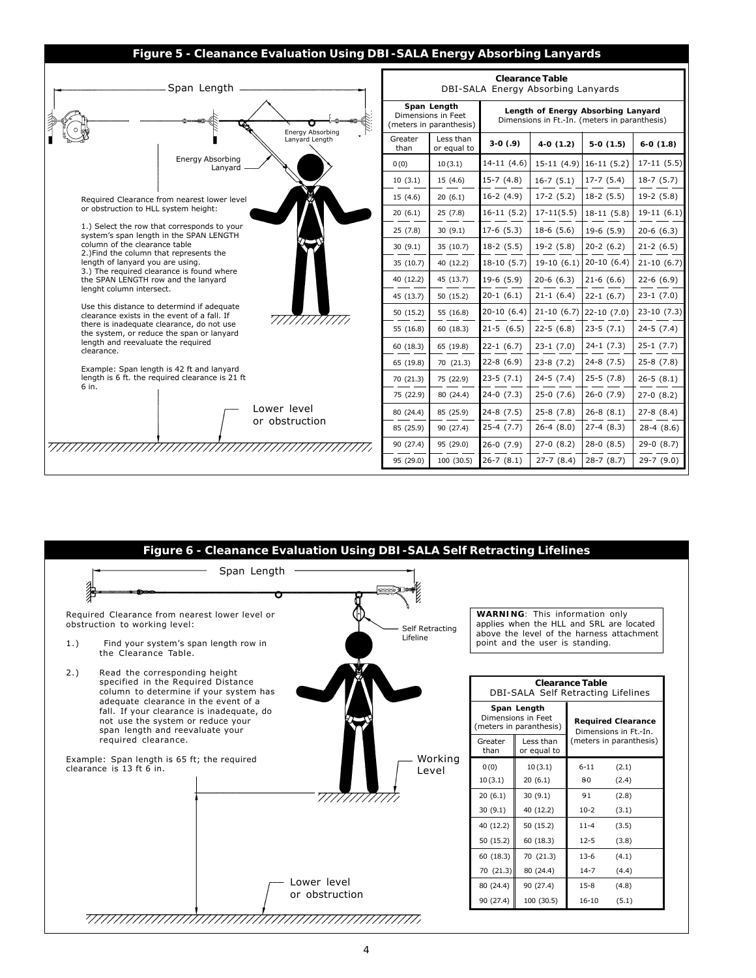### **Figure 5 - Cleanance Evaluation Using DBI-SALA Energy Absorbing Lanyards**



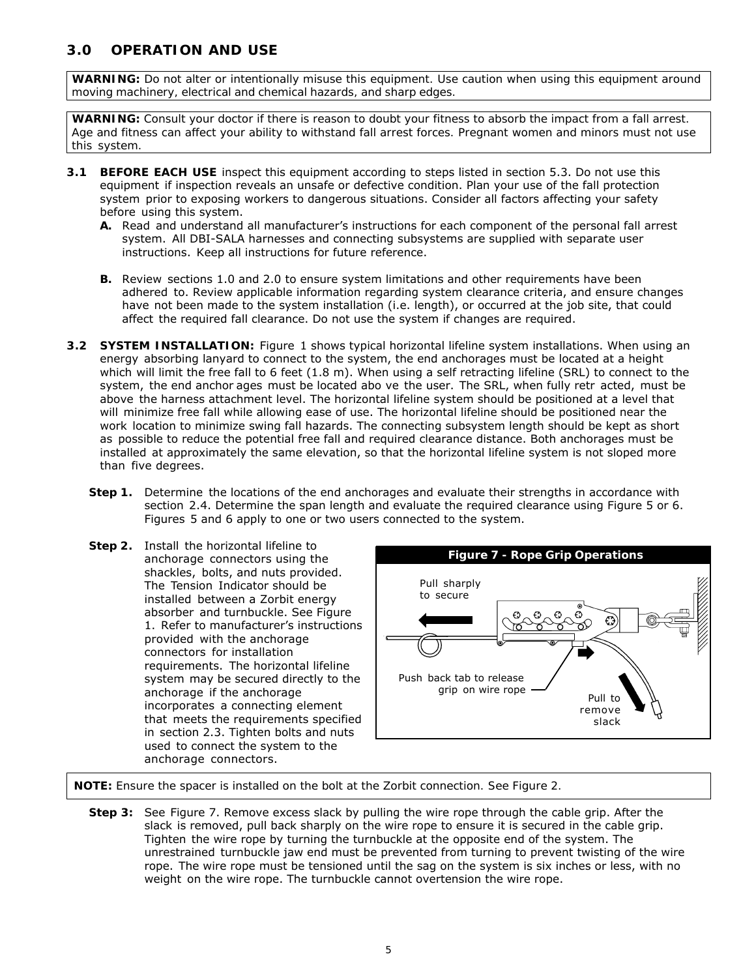# *3.0 OPERATION AND USE*

*WARNING: Do not alter or intentionally misuse this equipment. Use caution when using this equipment around moving machinery, electrical and chemical hazards, and sharp edges.*

*WARNING: Consult your doctor if there is reason to doubt your fitness to absorb the impact from a fall arrest. Age and fitness can affect your ability to withstand fall arrest forces. Pregnant women and minors must not use this system.*

- **3.1 BEFORE EACH USE** inspect this equipment according to steps listed in section 5.3. Do not use this equipment if inspection reveals an unsafe or defective condition. Plan your use of the fall protection system prior to exposing workers to dangerous situations. Consider all factors affecting your safety before using this system.
	- **A.** Read and understand all manufacturer's instructions for each component of the personal fall arrest system. All DBI-SALA harnesses and connecting subsystems are supplied with separate user instructions. Keep all instructions for future reference.
	- **B.** Review sections 1.0 and 2.0 to ensure system limitations and other requirements have been adhered to. Review applicable information regarding system clearance criteria, and ensure changes have not been made to the system installation (i.e. length), or occurred at the job site, that could affect the required fall clearance. Do not use the system if changes are required.
- **3.2 SYSTEM INSTALLATION:** Figure 1 shows typical horizontal lifeline system installations. When using an energy absorbing lanyard to connect to the system, the end anchorages must be located at a height which will limit the free fall to 6 feet (1.8 m). When using a self retracting lifeline (SRL) to connect to the system, the end anchor ages must be located abo ve the user. The SRL, when fully retr acted, must be above the harness attachment level. The horizontal lifeline system should be positioned at a level that will minimize free fall while allowing ease of use. The horizontal lifeline should be positioned near the work location to minimize swing fall hazards. The connecting subsystem length should be kept as short as possible to reduce the potential free fall and required clearance distance. Both anchorages must be installed at approximately the same elevation, so that the horizontal lifeline system is not sloped more than five degrees.
	- **Step 1.** Determine the locations of the end anchorages and evaluate their strengths in accordance with section 2.4. Determine the span length and evaluate the required clearance using Figure 5 or 6. Figures 5 and 6 apply to one or two users connected to the system.
	- **Step 2.** Install the horizontal lifeline to anchorage connectors using the shackles, bolts, and nuts provided. The Tension Indicator should be installed between a Zorbit energy absorber and turnbuckle. See Figure 1. Refer to manufacturer's instructions provided with the anchorage connectors for installation requirements. The horizontal lifeline system may be secured directly to the anchorage if the anchorage incorporates a connecting element that meets the requirements specified in section 2.3. Tighten bolts and nuts used to connect the system to the anchorage connectors.



 *NOTE: Ensure the spacer is installed on the bolt at the Zorbit connection. See Figure 2.*

**Step 3:** See Figure 7. Remove excess slack by pulling the wire rope through the cable grip. After the slack is removed, pull back sharply on the wire rope to ensure it is secured in the cable grip. Tighten the wire rope by turning the turnbuckle at the opposite end of the system. The unrestrained turnbuckle jaw end must be prevented from turning to prevent twisting of the wire rope. The wire rope must be tensioned until the sag on the system is six inches or less, with no weight on the wire rope. The turnbuckle cannot overtension the wire rope.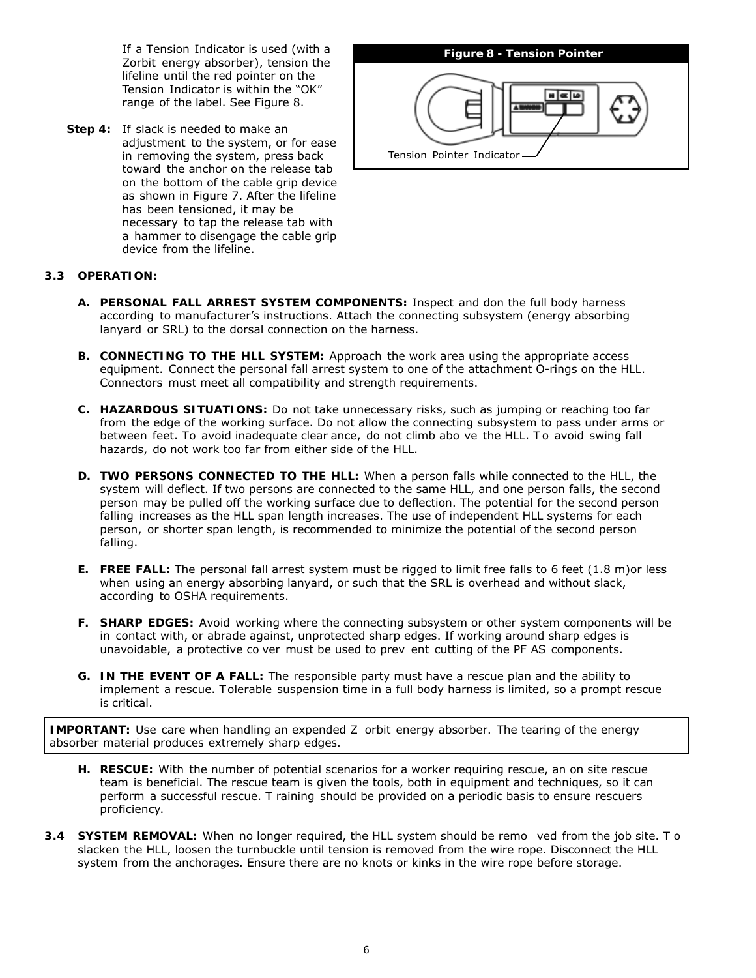If a Tension Indicator is used (with a Zorbit energy absorber), tension the lifeline until the red pointer on the Tension Indicator is within the "OK" range of the label. See Figure 8.

**Step 4:** If slack is needed to make an adjustment to the system, or for ease in removing the system, press back toward the anchor on the release tab on the bottom of the cable grip device as shown in Figure 7. After the lifeline has been tensioned, it may be necessary to tap the release tab with a hammer to disengage the cable grip device from the lifeline.



#### **3.3 OPERATION:**

- **A. PERSONAL FALL ARREST SYSTEM COMPONENTS:** Inspect and don the full body harness according to manufacturer's instructions. Attach the connecting subsystem (energy absorbing lanyard or SRL) to the dorsal connection on the harness.
- **B. CONNECTING TO THE HLL SYSTEM:** Approach the work area using the appropriate access equipment. Connect the personal fall arrest system to one of the attachment O-rings on the HLL. Connectors must meet all compatibility and strength requirements.
- **C. HAZARDOUS SITUATIONS:** Do not take unnecessary risks, such as jumping or reaching too far from the edge of the working surface. Do not allow the connecting subsystem to pass under arms or between feet. To avoid inadequate clear ance, do not climb abo ve the HLL. To avoid swing fall hazards, do not work too far from either side of the HLL.
- **D. TWO PERSONS CONNECTED TO THE HLL:** When a person falls while connected to the HLL, the system will deflect. If two persons are connected to the same HLL, and one person falls, the second person may be pulled off the working surface due to deflection. The potential for the second person falling increases as the HLL span length increases. The use of independent HLL systems for each person, or shorter span length, is recommended to minimize the potential of the second person falling.
- **E. FREE FALL:** The personal fall arrest system must be rigged to limit free falls to 6 feet (1.8 m)or less when using an energy absorbing lanyard, or such that the SRL is overhead and without slack, according to OSHA requirements.
- **F. SHARP EDGES:** Avoid working where the connecting subsystem or other system components will be in contact with, or abrade against, unprotected sharp edges. If working around sharp edges is unavoidable, a protective co ver must be used to prev ent cutting of the PF AS components.
- **G. IN THE EVENT OF A FALL:** The responsible party must have a rescue plan and the ability to implement a rescue. T olerable suspension time in a full body harness is limited, so a prompt rescue is critical.

*IMPORTANT:* Use care when handling an expended Z orbit energy absorber. The tearing of the energy absorber material *produces extremely sharp edges.*

- **H. RESCUE:** With the number of potential scenarios for a worker requiring rescue, an on site rescue team is beneficial. The rescue team is given the tools, both in equipment and techniques, so it can perform a successful rescue. T raining should be provided on a periodic basis to ensure rescuers proficiency.
- **3.4 SYSTEM REMOVAL:** When no longer required, the HLL system should be remo ved from the job site. T o slacken the HLL, loosen the turnbuckle until tension is removed from the wire rope. Disconnect the HLL system from the anchorages. Ensure there are no knots or kinks in the wire rope before storage.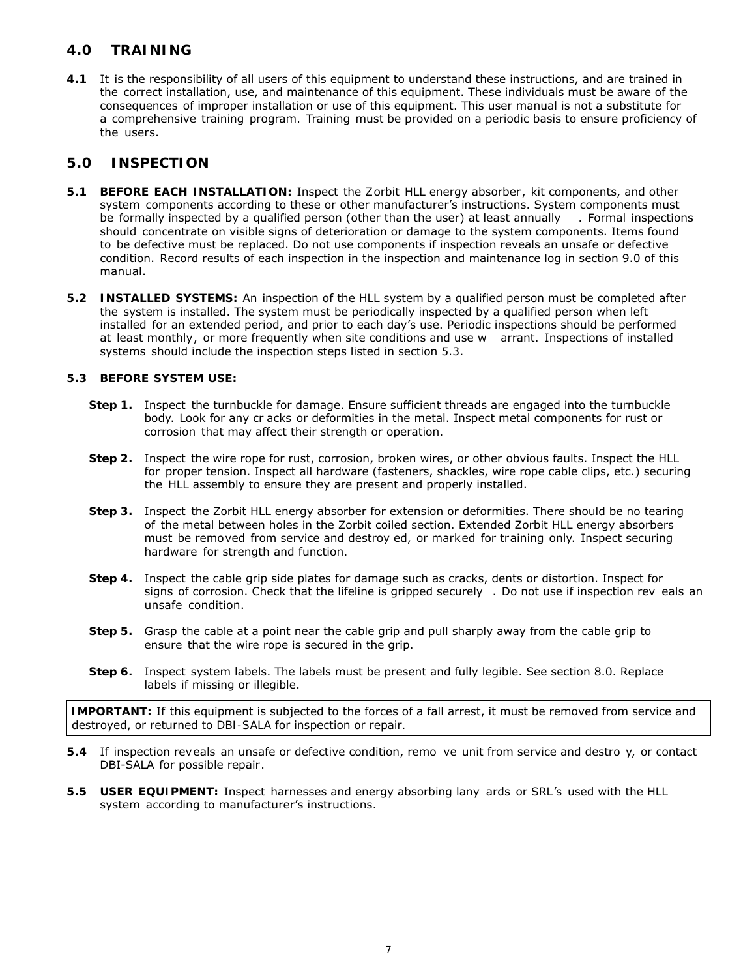## *4.0 TRAINING*

**4.1** It is the responsibility of all users of this equipment to understand these instructions, and are trained in the correct installation, use, and maintenance of this equipment. These individuals must be aware of the consequences of improper installation or use of this equipment. This user manual is not a substitute for a comprehensive training program. Training must be provided on a periodic basis to ensure proficiency of the users.

### *5.0 INSPECTION*

- **5.1 BEFORE EACH INSTALLATION:** Inspect the Zorbit HLL energy absorber, kit components, and other system components according to these or other manufacturer's instructions. System components must be formally inspected by a qualified person (other than the user) at least annually . Formal inspections should concentrate on visible signs of deterioration or damage to the system components. Items found to be defective must be replaced. Do not use components if inspection reveals an unsafe or defective condition. Record results of each inspection in the inspection and maintenance log in section 9.0 of this manual.
- **5.2 INSTALLED SYSTEMS:** An inspection of the HLL system by a qualified person must be completed after the system is installed. The system must be periodically inspected by a qualified person when left installed for an extended period, and prior to each day's use. Periodic inspections should be performed at least monthly, or more frequently when site conditions and use w arrant. Inspections of installed systems should include the inspection steps listed in section 5.3.

#### **5.3 BEFORE SYSTEM USE:**

- **Step 1.** Inspect the turnbuckle for damage. Ensure sufficient threads are engaged into the turnbuckle body. Look for any cr acks or deformities in the metal. Inspect metal components for rust or corrosion that may affect their strength or operation.
- **Step 2.** Inspect the wire rope for rust, corrosion, broken wires, or other obvious faults. Inspect the HLL for proper tension. Inspect all hardware (fasteners, shackles, wire rope cable clips, etc.) securing the HLL assembly to ensure they are present and properly installed.
- **Step 3.** Inspect the Zorbit HLL energy absorber for extension or deformities. There should be no tearing of the metal between holes in the Zorbit coiled section. Extended Zorbit HLL energy absorbers must be removed from service and destroy ed, or marked for training only. Inspect securing hardware for strength and function.
- **Step 4.** Inspect the cable grip side plates for damage such as cracks, dents or distortion. Inspect for signs of corrosion. Check that the lifeline is gripped securely . Do not use if inspection rev eals an unsafe condition.
- **Step 5.** Grasp the cable at a point near the cable grip and pull sharply away from the cable grip to ensure that the wire rope is secured in the grip.
- **Step 6.** Inspect system labels. The labels must be present and fully legible. See section 8.0. Replace labels if missing or illegible.

*IMPORTANT:* If this equipment is subjected to the forces of a fall arrest, it must be removed from service and destroyed, *or returned to DBI-SALA for inspection or repair.*

- **5.4** If inspection reveals an unsafe or defective condition, remo ve unit from service and destro y, or contact DBI-SALA for possible repair.
- **5.5 USER EQUIPMENT:** Inspect harnesses and energy absorbing lany ards or SRL's used with the HLL system according to manufacturer's instructions.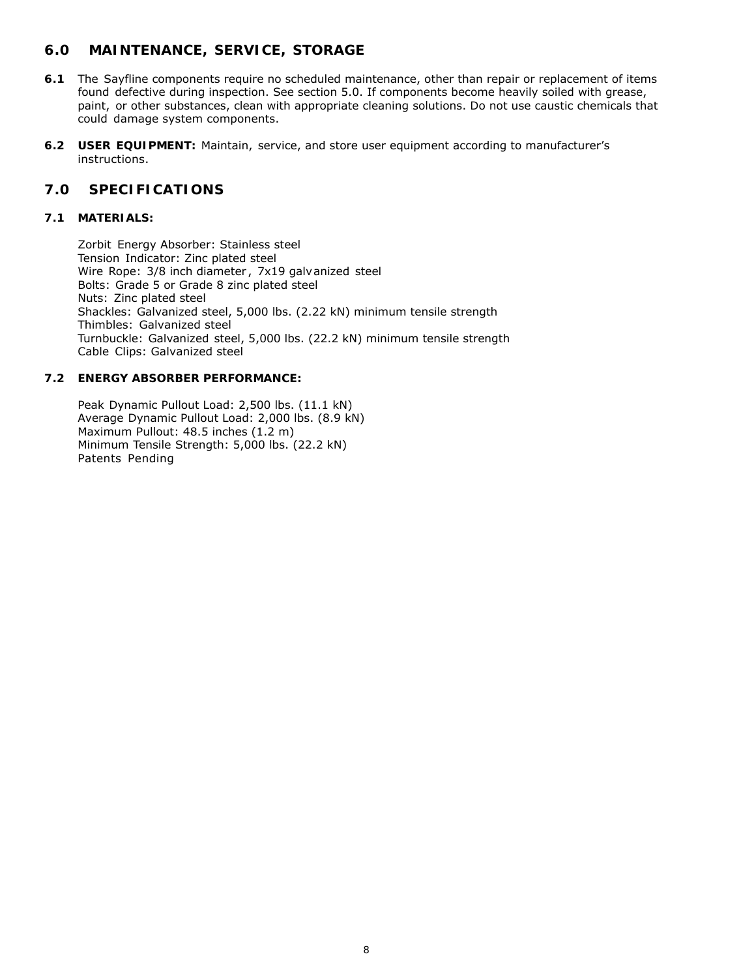# *6.0 MAINTENANCE, SERVICE, STORAGE*

- **6.1** The Sayfline components require no scheduled maintenance, other than repair or replacement of items found defective during inspection. See section 5.0. If components become heavily soiled with grease, paint, or other substances, clean with appropriate cleaning solutions. Do not use caustic chemicals that could damage system components.
- **6.2 USER EQUIPMENT:** Maintain, service, and store user equipment according to manufacturer's instructions.

### *7.0 SPECIFICATIONS*

#### **7.1 MATERIALS:**

Zorbit Energy Absorber: Stainless steel Tension Indicator: Zinc plated steel Wire Rope: 3/8 inch diameter, 7x19 galvanized steel Bolts: Grade 5 or Grade 8 zinc plated steel Nuts: Zinc plated steel Shackles: Galvanized steel, 5,000 lbs. (2.22 kN) minimum tensile strength Thimbles: Galvanized steel Turnbuckle: Galvanized steel, 5,000 lbs. (22.2 kN) minimum tensile strength Cable Clips: Galvanized steel

#### **7.2 ENERGY ABSORBER PERFORMANCE:**

Peak Dynamic Pullout Load: 2,500 lbs. (11.1 kN) Average Dynamic Pullout Load: 2,000 lbs. (8.9 kN) Maximum Pullout: 48.5 inches (1.2 m) Minimum Tensile Strength: 5,000 lbs. (22.2 kN) Patents Pending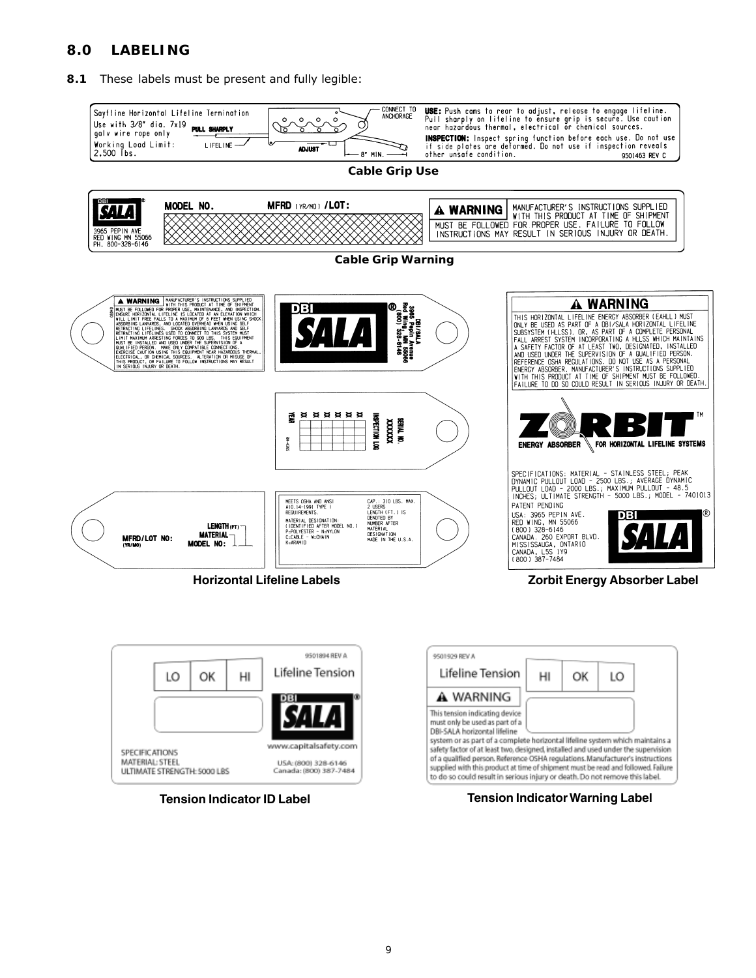# *8.0 LABELING*

**8.1** These labels must be present and fully legible:



www.capitalsafety.com USA: (800) 328-6146 ULTIMATE STRENGTH: 5000 LBS Canada: (800) 387-7484

SPECIFICATIONS

MATERIAL: STEEL



system or as part of a complete horizontal lifeline system which maintains a

safety factor of at least two, designed, installed and used under the supervision

of a qualified person. Reference OSHA regulations. Manufacturer's instructions

supplied with this product at time of shipment must be read and followed. Failure

to do so could result in serious injury or death. Do not remove this label.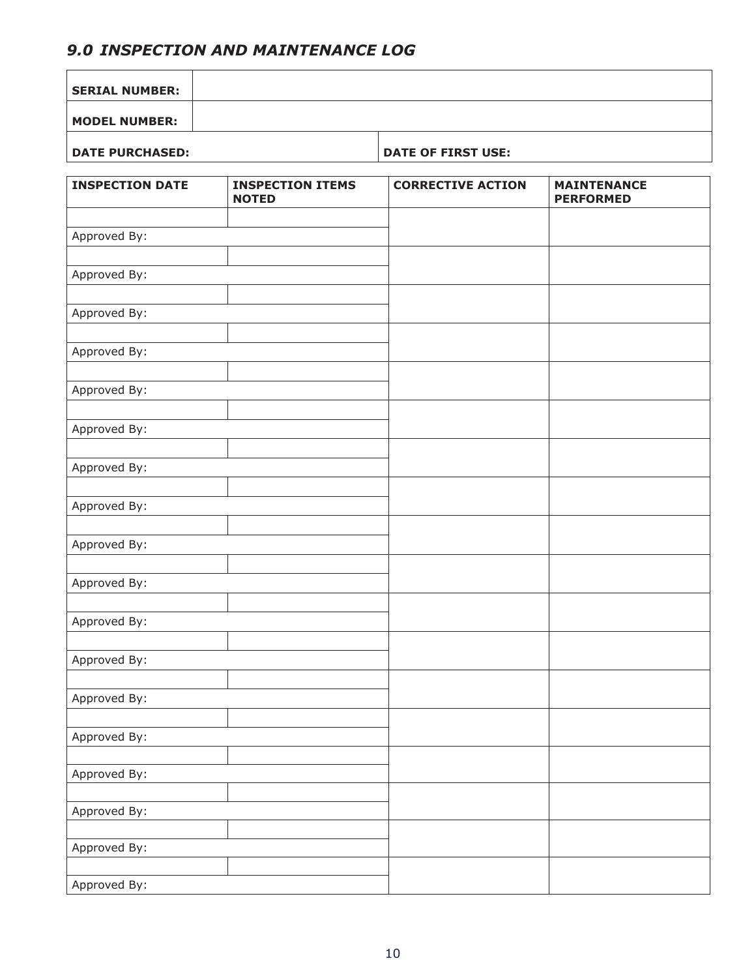# *9.0 INSPECTION AND MAINTENANCE LOG*

| <b>SERIAL NUMBER:</b>  |                                         |                           |                                        |
|------------------------|-----------------------------------------|---------------------------|----------------------------------------|
| <b>MODEL NUMBER:</b>   |                                         |                           |                                        |
| <b>DATE PURCHASED:</b> |                                         | <b>DATE OF FIRST USE:</b> |                                        |
| <b>INSPECTION DATE</b> | <b>INSPECTION ITEMS</b><br><b>NOTED</b> | <b>CORRECTIVE ACTION</b>  | <b>MAINTENANCE</b><br><b>PERFORMED</b> |
| Approved By:           |                                         |                           |                                        |
| Approved By:           |                                         |                           |                                        |
| Approved By:           |                                         |                           |                                        |
| Approved By:           |                                         |                           |                                        |
| Approved By:           |                                         |                           |                                        |
| Approved By:           |                                         |                           |                                        |
| Approved By:           |                                         |                           |                                        |
| Approved By:           |                                         |                           |                                        |
| Approved By:           |                                         |                           |                                        |
| Approved By:           |                                         |                           |                                        |
| Approved By:           |                                         |                           |                                        |
| Approved By:           |                                         |                           |                                        |
| Approved By:           |                                         |                           |                                        |
| Approved By:           |                                         |                           |                                        |
| Approved By:           |                                         |                           |                                        |
| Approved By:           |                                         |                           |                                        |
| Approved By:           |                                         |                           |                                        |
| Approved By:           |                                         |                           |                                        |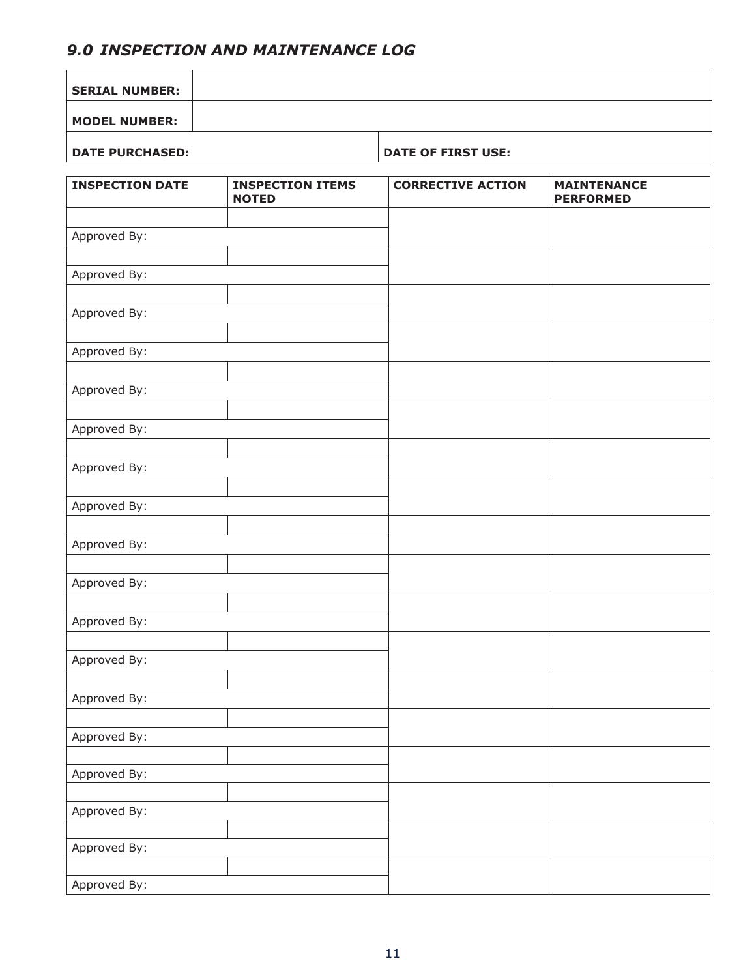# *9.0 INSPECTION AND MAINTENANCE LOG*

| <b>SERIAL NUMBER:</b>  |                                         |                           |                                        |
|------------------------|-----------------------------------------|---------------------------|----------------------------------------|
| <b>MODEL NUMBER:</b>   |                                         |                           |                                        |
| <b>DATE PURCHASED:</b> |                                         | <b>DATE OF FIRST USE:</b> |                                        |
| <b>INSPECTION DATE</b> | <b>INSPECTION ITEMS</b><br><b>NOTED</b> | <b>CORRECTIVE ACTION</b>  | <b>MAINTENANCE</b><br><b>PERFORMED</b> |
| Approved By:           |                                         |                           |                                        |
| Approved By:           |                                         |                           |                                        |
| Approved By:           |                                         |                           |                                        |
| Approved By:           |                                         |                           |                                        |
| Approved By:           |                                         |                           |                                        |
| Approved By:           |                                         |                           |                                        |
| Approved By:           |                                         |                           |                                        |
| Approved By:           |                                         |                           |                                        |
| Approved By:           |                                         |                           |                                        |
| Approved By:           |                                         |                           |                                        |
| Approved By:           |                                         |                           |                                        |
| Approved By:           |                                         |                           |                                        |
| Approved By:           |                                         |                           |                                        |
| Approved By:           |                                         |                           |                                        |
| Approved By:           |                                         |                           |                                        |
| Approved By:           |                                         |                           |                                        |
| Approved By:           |                                         |                           |                                        |
| Approved By:           |                                         |                           |                                        |